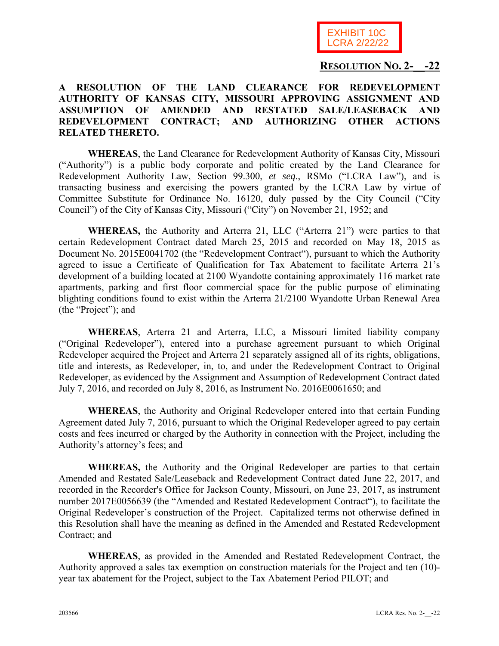

## **RESOLUTION NO. 2-\_\_-22**

## **A RESOLUTION OF THE LAND CLEARANCE FOR REDEVELOPMENT AUTHORITY OF KANSAS CITY, MISSOURI APPROVING ASSIGNMENT AND ASSUMPTION OF AMENDED AND RESTATED SALE/LEASEBACK AND REDEVELOPMENT CONTRACT; AND AUTHORIZING OTHER ACTIONS RELATED THERETO.**

**WHEREAS**, the Land Clearance for Redevelopment Authority of Kansas City, Missouri ("Authority") is a public body corporate and politic created by the Land Clearance for Redevelopment Authority Law, Section 99.300, *et seq*., RSMo ("LCRA Law"), and is transacting business and exercising the powers granted by the LCRA Law by virtue of Committee Substitute for Ordinance No. 16120, duly passed by the City Council ("City Council") of the City of Kansas City, Missouri ("City") on November 21, 1952; and

**WHEREAS,** the Authority and Arterra 21, LLC ("Arterra 21") were parties to that certain Redevelopment Contract dated March 25, 2015 and recorded on May 18, 2015 as Document No. 2015E0041702 (the "Redevelopment Contract"), pursuant to which the Authority agreed to issue a Certificate of Qualification for Tax Abatement to facilitate Arterra 21's development of a building located at 2100 Wyandotte containing approximately 116 market rate apartments, parking and first floor commercial space for the public purpose of eliminating blighting conditions found to exist within the Arterra 21/2100 Wyandotte Urban Renewal Area (the "Project"); and

**WHEREAS**, Arterra 21 and Arterra, LLC, a Missouri limited liability company ("Original Redeveloper"), entered into a purchase agreement pursuant to which Original Redeveloper acquired the Project and Arterra 21 separately assigned all of its rights, obligations, title and interests, as Redeveloper, in, to, and under the Redevelopment Contract to Original Redeveloper, as evidenced by the Assignment and Assumption of Redevelopment Contract dated July 7, 2016, and recorded on July 8, 2016, as Instrument No. 2016E0061650; and

**WHEREAS**, the Authority and Original Redeveloper entered into that certain Funding Agreement dated July 7, 2016, pursuant to which the Original Redeveloper agreed to pay certain costs and fees incurred or charged by the Authority in connection with the Project, including the Authority's attorney's fees; and

**WHEREAS,** the Authority and the Original Redeveloper are parties to that certain Amended and Restated Sale/Leaseback and Redevelopment Contract dated June 22, 2017, and recorded in the Recorder's Office for Jackson County, Missouri, on June 23, 2017, as instrument number 2017E0056639 (the "Amended and Restated Redevelopment Contract"), to facilitate the Original Redeveloper's construction of the Project. Capitalized terms not otherwise defined in this Resolution shall have the meaning as defined in the Amended and Restated Redevelopment Contract; and

**WHEREAS**, as provided in the Amended and Restated Redevelopment Contract, the Authority approved a sales tax exemption on construction materials for the Project and ten (10) year tax abatement for the Project, subject to the Tax Abatement Period PILOT; and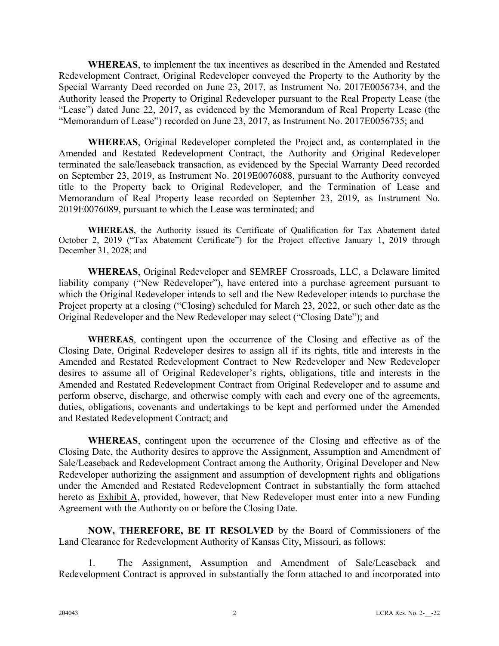**WHEREAS**, to implement the tax incentives as described in the Amended and Restated Redevelopment Contract, Original Redeveloper conveyed the Property to the Authority by the Special Warranty Deed recorded on June 23, 2017, as Instrument No. 2017E0056734, and the Authority leased the Property to Original Redeveloper pursuant to the Real Property Lease (the "Lease") dated June 22, 2017, as evidenced by the Memorandum of Real Property Lease (the "Memorandum of Lease") recorded on June 23, 2017, as Instrument No. 2017E0056735; and

**WHEREAS**, Original Redeveloper completed the Project and, as contemplated in the Amended and Restated Redevelopment Contract, the Authority and Original Redeveloper terminated the sale/leaseback transaction, as evidenced by the Special Warranty Deed recorded on September 23, 2019, as Instrument No. 2019E0076088, pursuant to the Authority conveyed title to the Property back to Original Redeveloper, and the Termination of Lease and Memorandum of Real Property lease recorded on September 23, 2019, as Instrument No. 2019E0076089, pursuant to which the Lease was terminated; and

**WHEREAS**, the Authority issued its Certificate of Qualification for Tax Abatement dated October 2, 2019 ("Tax Abatement Certificate") for the Project effective January 1, 2019 through December 31, 2028; and

**WHEREAS**, Original Redeveloper and SEMREF Crossroads, LLC, a Delaware limited liability company ("New Redeveloper"), have entered into a purchase agreement pursuant to which the Original Redeveloper intends to sell and the New Redeveloper intends to purchase the Project property at a closing ("Closing) scheduled for March 23, 2022, or such other date as the Original Redeveloper and the New Redeveloper may select ("Closing Date"); and

**WHEREAS**, contingent upon the occurrence of the Closing and effective as of the Closing Date, Original Redeveloper desires to assign all if its rights, title and interests in the Amended and Restated Redevelopment Contract to New Redeveloper and New Redeveloper desires to assume all of Original Redeveloper's rights, obligations, title and interests in the Amended and Restated Redevelopment Contract from Original Redeveloper and to assume and perform observe, discharge, and otherwise comply with each and every one of the agreements, duties, obligations, covenants and undertakings to be kept and performed under the Amended and Restated Redevelopment Contract; and

**WHEREAS**, contingent upon the occurrence of the Closing and effective as of the Closing Date, the Authority desires to approve the Assignment, Assumption and Amendment of Sale/Leaseback and Redevelopment Contract among the Authority, Original Developer and New Redeveloper authorizing the assignment and assumption of development rights and obligations under the Amended and Restated Redevelopment Contract in substantially the form attached hereto as Exhibit A, provided, however, that New Redeveloper must enter into a new Funding Agreement with the Authority on or before the Closing Date.

**NOW, THEREFORE, BE IT RESOLVED** by the Board of Commissioners of the Land Clearance for Redevelopment Authority of Kansas City, Missouri, as follows:

1. The Assignment, Assumption and Amendment of Sale/Leaseback and Redevelopment Contract is approved in substantially the form attached to and incorporated into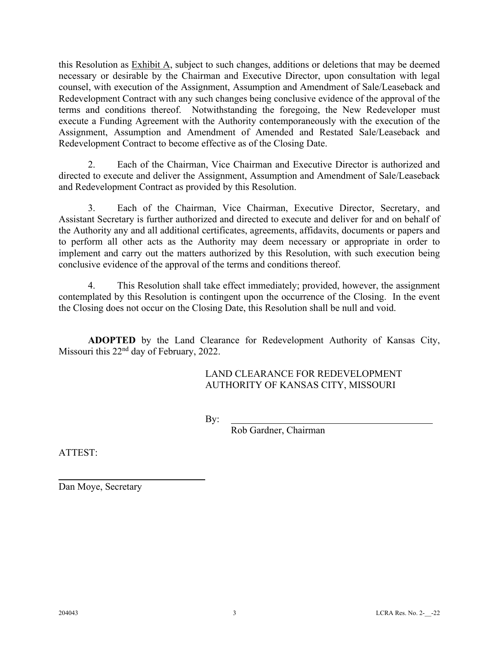this Resolution as Exhibit A, subject to such changes, additions or deletions that may be deemed necessary or desirable by the Chairman and Executive Director, upon consultation with legal counsel, with execution of the Assignment, Assumption and Amendment of Sale/Leaseback and Redevelopment Contract with any such changes being conclusive evidence of the approval of the terms and conditions thereof. Notwithstanding the foregoing, the New Redeveloper must execute a Funding Agreement with the Authority contemporaneously with the execution of the Assignment, Assumption and Amendment of Amended and Restated Sale/Leaseback and Redevelopment Contract to become effective as of the Closing Date.

2. Each of the Chairman, Vice Chairman and Executive Director is authorized and directed to execute and deliver the Assignment, Assumption and Amendment of Sale/Leaseback and Redevelopment Contract as provided by this Resolution.

3. Each of the Chairman, Vice Chairman, Executive Director, Secretary, and Assistant Secretary is further authorized and directed to execute and deliver for and on behalf of the Authority any and all additional certificates, agreements, affidavits, documents or papers and to perform all other acts as the Authority may deem necessary or appropriate in order to implement and carry out the matters authorized by this Resolution, with such execution being conclusive evidence of the approval of the terms and conditions thereof.

4. This Resolution shall take effect immediately; provided, however, the assignment contemplated by this Resolution is contingent upon the occurrence of the Closing. In the event the Closing does not occur on the Closing Date, this Resolution shall be null and void.

**ADOPTED** by the Land Clearance for Redevelopment Authority of Kansas City, Missouri this 22<sup>nd</sup> day of February, 2022.

> LAND CLEARANCE FOR REDEVELOPMENT AUTHORITY OF KANSAS CITY, MISSOURI

By:

Rob Gardner, Chairman

ATTEST:

 $\overline{a}$ 

Dan Moye, Secretary